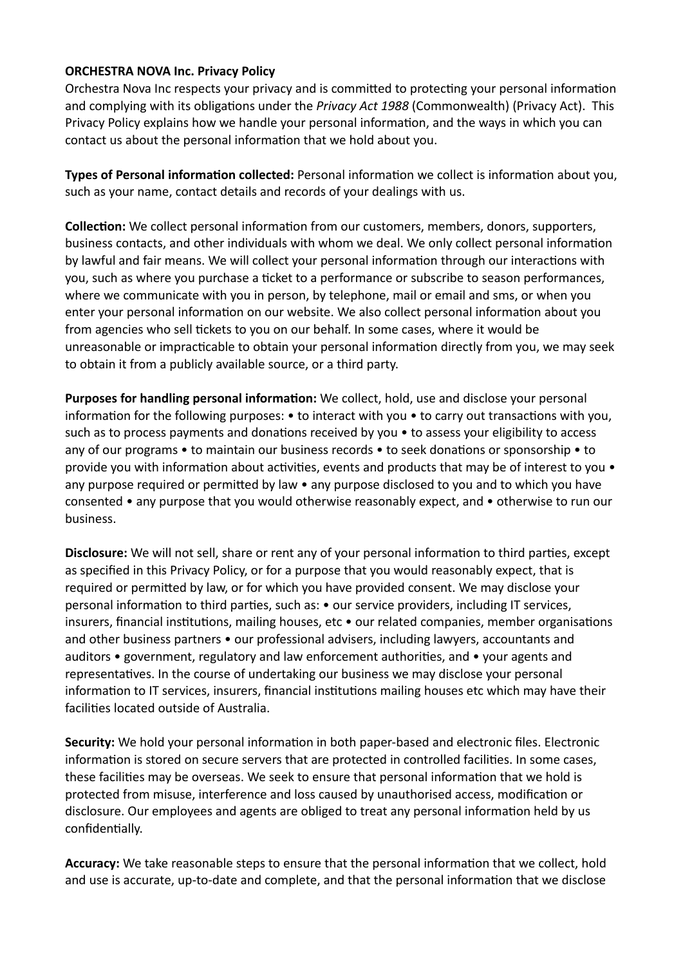## **ORCHESTRA NOVA Inc. Privacy Policy**

Orchestra Nova Inc respects your privacy and is committed to protecting your personal information and complying with its obligations under the *Privacy Act 1988* (Commonwealth) (Privacy Act). This Privacy Policy explains how we handle your personal information, and the ways in which you can contact us about the personal information that we hold about you.

**Types of Personal information collected:** Personal information we collect is information about you, such as your name, contact details and records of your dealings with us.

**Collection:** We collect personal information from our customers, members, donors, supporters, business contacts, and other individuals with whom we deal. We only collect personal information by lawful and fair means. We will collect your personal information through our interactions with you, such as where you purchase a ticket to a performance or subscribe to season performances, where we communicate with you in person, by telephone, mail or email and sms, or when you enter your personal information on our website. We also collect personal information about you from agencies who sell tickets to you on our behalf. In some cases, where it would be unreasonable or impracticable to obtain your personal information directly from you, we may seek to obtain it from a publicly available source, or a third party.

**Purposes for handling personal information:** We collect, hold, use and disclose your personal information for the following purposes: • to interact with you • to carry out transactions with you, such as to process payments and donations received by you • to assess your eligibility to access any of our programs • to maintain our business records • to seek donations or sponsorship • to provide you with information about activities, events and products that may be of interest to you • any purpose required or permitted by law • any purpose disclosed to you and to which you have consented • any purpose that you would otherwise reasonably expect, and • otherwise to run our business.

**Disclosure:** We will not sell, share or rent any of your personal information to third parties, except as specified in this Privacy Policy, or for a purpose that you would reasonably expect, that is required or permitted by law, or for which you have provided consent. We may disclose your personal information to third parties, such as: • our service providers, including IT services, insurers, financial institutions, mailing houses, etc • our related companies, member organisations and other business partners • our professional advisers, including lawyers, accountants and auditors • government, regulatory and law enforcement authorities, and • your agents and representatives. In the course of undertaking our business we may disclose your personal information to IT services, insurers, financial institutions mailing houses etc which may have their facilities located outside of Australia.

**Security:** We hold your personal information in both paper-based and electronic files. Electronic information is stored on secure servers that are protected in controlled facilities. In some cases, these facilities may be overseas. We seek to ensure that personal information that we hold is protected from misuse, interference and loss caused by unauthorised access, modification or disclosure. Our employees and agents are obliged to treat any personal information held by us confidentially.

**Accuracy:** We take reasonable steps to ensure that the personal information that we collect, hold and use is accurate, up-to-date and complete, and that the personal information that we disclose